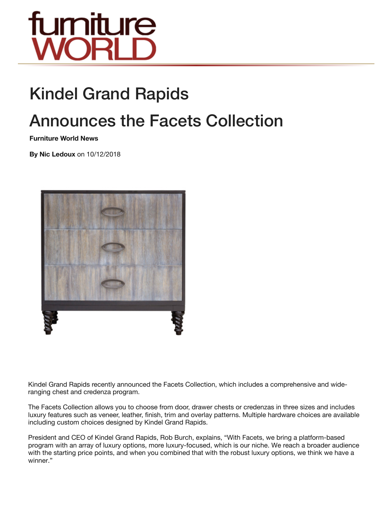

## Kindel Grand Rapids

## Announces the Facets Collection

**Furniture World News**

**By Nic Ledoux** on 10/12/2018



Kindel Grand Rapids recently announced the Facets Collection, which includes a comprehensive and wideranging chest and credenza program.

The Facets Collection allows you to choose from door, drawer chests or credenzas in three sizes and includes luxury features such as veneer, leather, finish, trim and overlay patterns. Multiple hardware choices are available including custom choices designed by Kindel Grand Rapids.

President and CEO of Kindel Grand Rapids, Rob Burch, explains, "With Facets, we bring a platform-based program with an array of luxury options, more luxury-focused, which is our niche. We reach a broader audience with the starting price points, and when you combined that with the robust luxury options, we think we have a winner."